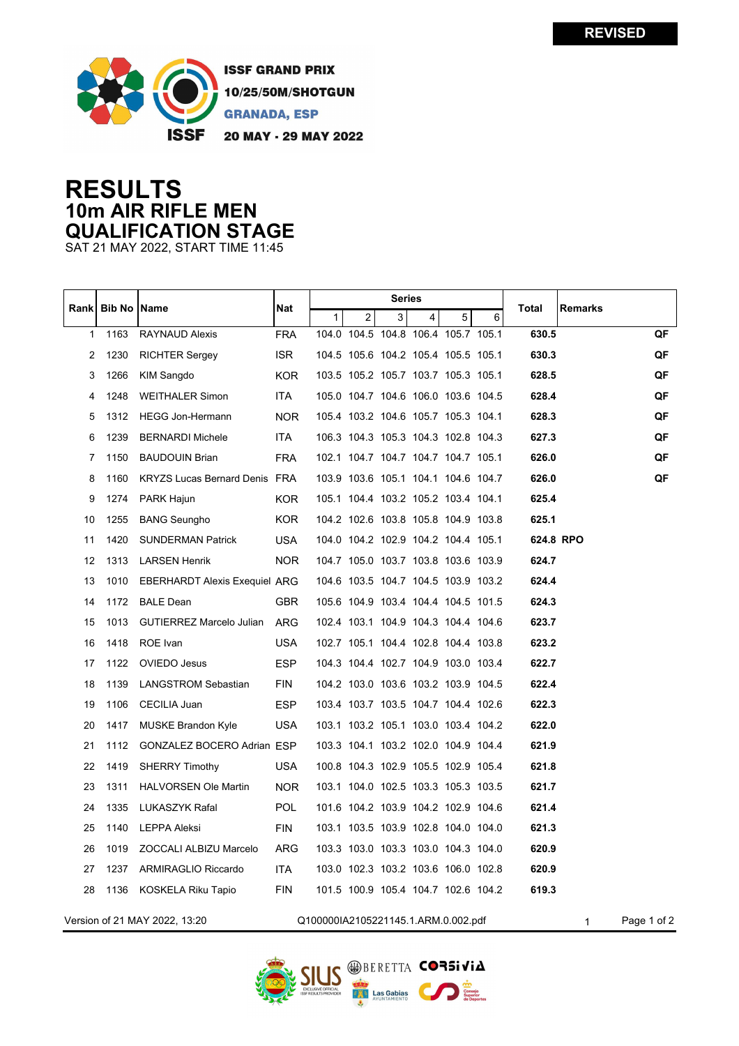

**ISSF GRAND PRIX** 10/25/50M/SHOTGUN **GRANADA, ESP** 20 MAY - 29 MAY 2022

## **RESULTS 10m AIR RIFLE MEN QUALIFICATION STAGE**

SAT 21 MAY 2022, START TIME 11:45

| Rankl                                                                     | <b>Bib No   Name</b> |                                      | Nat        | <b>Series</b> |   |   |                |                                     | Total | <b>Remarks</b> |           |    |
|---------------------------------------------------------------------------|----------------------|--------------------------------------|------------|---------------|---|---|----------------|-------------------------------------|-------|----------------|-----------|----|
|                                                                           |                      |                                      |            | 1             | 2 | 3 | $\overline{4}$ | 5                                   | 6     |                |           |    |
| 1                                                                         | 1163                 | RAYNAUD Alexis                       | <b>FRA</b> |               |   |   |                | 104.0 104.5 104.8 106.4 105.7 105.1 |       | 630.5          |           | QF |
| 2                                                                         | 1230                 | <b>RICHTER Sergey</b>                | <b>ISR</b> |               |   |   |                | 104.5 105.6 104.2 105.4 105.5 105.1 |       | 630.3          |           | QF |
| 3                                                                         | 1266                 | KIM Sangdo                           | <b>KOR</b> |               |   |   |                | 103.5 105.2 105.7 103.7 105.3 105.1 |       | 628.5          |           | QF |
| 4                                                                         | 1248                 | <b>WEITHALER Simon</b>               | <b>ITA</b> |               |   |   |                | 105.0 104.7 104.6 106.0 103.6 104.5 |       | 628.4          |           | QF |
| 5                                                                         | 1312                 | <b>HEGG Jon-Hermann</b>              | <b>NOR</b> |               |   |   |                | 105.4 103.2 104.6 105.7 105.3 104.1 |       | 628.3          |           | QF |
| 6                                                                         | 1239                 | <b>BERNARDI Michele</b>              | <b>ITA</b> |               |   |   |                | 106.3 104.3 105.3 104.3 102.8 104.3 |       | 627.3          |           | QF |
| 7                                                                         | 1150                 | <b>BAUDOUIN Brian</b>                | <b>FRA</b> |               |   |   |                | 102.1 104.7 104.7 104.7 104.7 105.1 |       | 626.0          |           | QF |
| 8                                                                         | 1160                 | <b>KRYZS Lucas Bernard Denis FRA</b> |            |               |   |   |                | 103.9 103.6 105.1 104.1 104.6 104.7 |       | 626.0          |           | QF |
| 9                                                                         | 1274                 | PARK Hajun                           | KOR.       |               |   |   |                | 105.1 104.4 103.2 105.2 103.4 104.1 |       | 625.4          |           |    |
| 10                                                                        | 1255                 | <b>BANG Seungho</b>                  | <b>KOR</b> |               |   |   |                | 104.2 102.6 103.8 105.8 104.9 103.8 |       | 625.1          |           |    |
| 11                                                                        | 1420                 | <b>SUNDERMAN Patrick</b>             | <b>USA</b> |               |   |   |                | 104.0 104.2 102.9 104.2 104.4 105.1 |       |                | 624.8 RPO |    |
| 12                                                                        | 1313                 | <b>LARSEN Henrik</b>                 | <b>NOR</b> |               |   |   |                | 104.7 105.0 103.7 103.8 103.6 103.9 |       | 624.7          |           |    |
| 13                                                                        | 1010                 | <b>EBERHARDT Alexis Exequiel ARG</b> |            |               |   |   |                | 104.6 103.5 104.7 104.5 103.9 103.2 |       | 624.4          |           |    |
| 14                                                                        | 1172                 | <b>BALE Dean</b>                     | <b>GBR</b> |               |   |   |                | 105.6 104.9 103.4 104.4 104.5 101.5 |       | 624.3          |           |    |
| 15                                                                        | 1013                 | <b>GUTIERREZ Marcelo Julian</b>      | <b>ARG</b> |               |   |   |                | 102.4 103.1 104.9 104.3 104.4 104.6 |       | 623.7          |           |    |
| 16                                                                        | 1418                 | ROE Ivan                             | <b>USA</b> |               |   |   |                | 102.7 105.1 104.4 102.8 104.4 103.8 |       | 623.2          |           |    |
| 17                                                                        | 1122                 | OVIEDO Jesus                         | <b>ESP</b> |               |   |   |                | 104.3 104.4 102.7 104.9 103.0 103.4 |       | 622.7          |           |    |
| 18                                                                        | 1139                 | <b>LANGSTROM Sebastian</b>           | <b>FIN</b> |               |   |   |                | 104.2 103.0 103.6 103.2 103.9 104.5 |       | 622.4          |           |    |
| 19                                                                        | 1106                 | CECILIA Juan                         | <b>ESP</b> |               |   |   |                | 103.4 103.7 103.5 104.7 104.4 102.6 |       | 622.3          |           |    |
| 20                                                                        | 1417                 | <b>MUSKE Brandon Kyle</b>            | <b>USA</b> |               |   |   |                | 103.1 103.2 105.1 103.0 103.4 104.2 |       | 622.0          |           |    |
| 21                                                                        | 1112                 | <b>GONZALEZ BOCERO Adrian ESP</b>    |            |               |   |   |                | 103.3 104.1 103.2 102.0 104.9 104.4 |       | 621.9          |           |    |
| 22                                                                        | 1419                 | <b>SHERRY Timothy</b>                | USA        |               |   |   |                | 100.8 104.3 102.9 105.5 102.9 105.4 |       | 621.8          |           |    |
| 23                                                                        | 1311                 | <b>HALVORSEN Ole Martin</b>          | <b>NOR</b> |               |   |   |                | 103.1 104.0 102.5 103.3 105.3 103.5 |       | 621.7          |           |    |
| 24                                                                        | 1335                 | LUKASZYK Rafal                       | <b>POL</b> |               |   |   |                | 101.6 104.2 103.9 104.2 102.9 104.6 |       | 621.4          |           |    |
| 25                                                                        | 1140                 | LEPPA Aleksi                         | <b>FIN</b> |               |   |   |                | 103.1 103.5 103.9 102.8 104.0 104.0 |       | 621.3          |           |    |
| 26                                                                        | 1019                 | ZOCCALI ALBIZU Marcelo               | <b>ARG</b> |               |   |   |                | 103.3 103.0 103.3 103.0 104.3 104.0 |       | 620.9          |           |    |
| 27                                                                        | 1237                 | ARMIRAGLIO Riccardo                  | <b>ITA</b> |               |   |   |                | 103.0 102.3 103.2 103.6 106.0 102.8 |       | 620.9          |           |    |
| 28                                                                        | 1136                 | KOSKELA Riku Tapio                   | <b>FIN</b> |               |   |   |                | 101.5 100.9 105.4 104.7 102.6 104.2 |       | 619.3          |           |    |
| Version of 21 MAY 2022, 13:20<br>Q100000IA2105221145.1.ARM.0.002.pdf<br>1 |                      |                                      |            |               |   |   |                | Page 1 of 2                         |       |                |           |    |